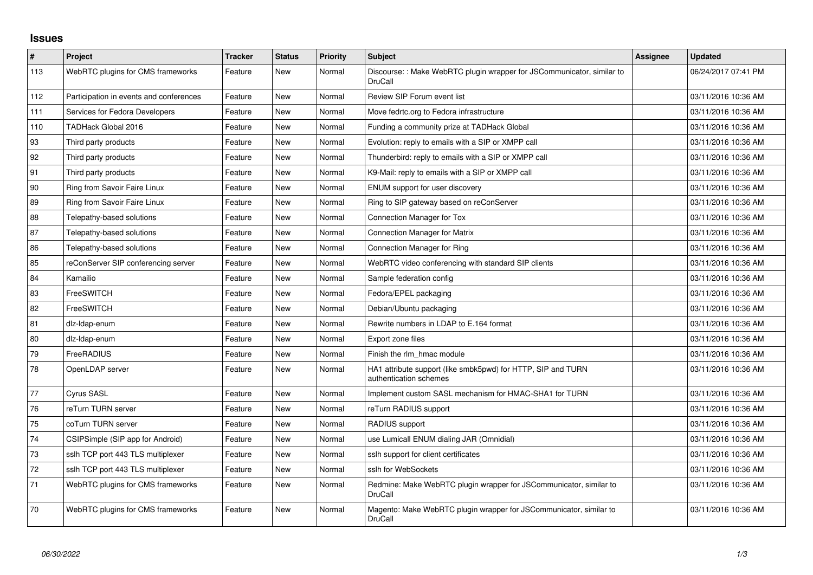## **Issues**

| $\vert$ # | Project                                 | <b>Tracker</b> | <b>Status</b> | <b>Priority</b> | <b>Subject</b>                                                                         | <b>Assignee</b> | <b>Updated</b>      |
|-----------|-----------------------------------------|----------------|---------------|-----------------|----------------------------------------------------------------------------------------|-----------------|---------------------|
| 113       | WebRTC plugins for CMS frameworks       | Feature        | <b>New</b>    | Normal          | Discourse:: Make WebRTC plugin wrapper for JSCommunicator, similar to<br>DruCall       |                 | 06/24/2017 07:41 PM |
| 112       | Participation in events and conferences | Feature        | <b>New</b>    | Normal          | Review SIP Forum event list                                                            |                 | 03/11/2016 10:36 AM |
| 111       | Services for Fedora Developers          | Feature        | <b>New</b>    | Normal          | Move fedrtc.org to Fedora infrastructure                                               |                 | 03/11/2016 10:36 AM |
| 110       | TADHack Global 2016                     | Feature        | New           | Normal          | Funding a community prize at TADHack Global                                            |                 | 03/11/2016 10:36 AM |
| 93        | Third party products                    | Feature        | <b>New</b>    | Normal          | Evolution: reply to emails with a SIP or XMPP call                                     |                 | 03/11/2016 10:36 AM |
| 92        | Third party products                    | Feature        | <b>New</b>    | Normal          | Thunderbird: reply to emails with a SIP or XMPP call                                   |                 | 03/11/2016 10:36 AM |
| 91        | Third party products                    | Feature        | <b>New</b>    | Normal          | K9-Mail: reply to emails with a SIP or XMPP call                                       |                 | 03/11/2016 10:36 AM |
| 90        | Ring from Savoir Faire Linux            | Feature        | <b>New</b>    | Normal          | ENUM support for user discovery                                                        |                 | 03/11/2016 10:36 AM |
| 89        | Ring from Savoir Faire Linux            | Feature        | <b>New</b>    | Normal          | Ring to SIP gateway based on reConServer                                               |                 | 03/11/2016 10:36 AM |
| 88        | Telepathy-based solutions               | Feature        | <b>New</b>    | Normal          | Connection Manager for Tox                                                             |                 | 03/11/2016 10:36 AM |
| 87        | Telepathy-based solutions               | Feature        | <b>New</b>    | Normal          | <b>Connection Manager for Matrix</b>                                                   |                 | 03/11/2016 10:36 AM |
| 86        | Telepathy-based solutions               | Feature        | <b>New</b>    | Normal          | Connection Manager for Ring                                                            |                 | 03/11/2016 10:36 AM |
| 85        | reConServer SIP conferencing server     | Feature        | <b>New</b>    | Normal          | WebRTC video conferencing with standard SIP clients                                    |                 | 03/11/2016 10:36 AM |
| 84        | Kamailio                                | Feature        | <b>New</b>    | Normal          | Sample federation config                                                               |                 | 03/11/2016 10:36 AM |
| 83        | FreeSWITCH                              | Feature        | New           | Normal          | Fedora/EPEL packaging                                                                  |                 | 03/11/2016 10:36 AM |
| 82        | FreeSWITCH                              | Feature        | <b>New</b>    | Normal          | Debian/Ubuntu packaging                                                                |                 | 03/11/2016 10:36 AM |
| 81        | dlz-Idap-enum                           | Feature        | <b>New</b>    | Normal          | Rewrite numbers in LDAP to E.164 format                                                |                 | 03/11/2016 10:36 AM |
| 80        | dlz-Idap-enum                           | Feature        | <b>New</b>    | Normal          | Export zone files                                                                      |                 | 03/11/2016 10:36 AM |
| 79        | FreeRADIUS                              | Feature        | New           | Normal          | Finish the rlm hmac module                                                             |                 | 03/11/2016 10:36 AM |
| 78        | OpenLDAP server                         | Feature        | New           | Normal          | HA1 attribute support (like smbk5pwd) for HTTP, SIP and TURN<br>authentication schemes |                 | 03/11/2016 10:36 AM |
| 77        | <b>Cyrus SASL</b>                       | Feature        | <b>New</b>    | Normal          | Implement custom SASL mechanism for HMAC-SHA1 for TURN                                 |                 | 03/11/2016 10:36 AM |
| 76        | reTurn TURN server                      | Feature        | <b>New</b>    | Normal          | reTurn RADIUS support                                                                  |                 | 03/11/2016 10:36 AM |
| 75        | coTurn TURN server                      | Feature        | <b>New</b>    | Normal          | <b>RADIUS</b> support                                                                  |                 | 03/11/2016 10:36 AM |
| 74        | CSIPSimple (SIP app for Android)        | Feature        | <b>New</b>    | Normal          | use Lumicall ENUM dialing JAR (Omnidial)                                               |                 | 03/11/2016 10:36 AM |
| 73        | sslh TCP port 443 TLS multiplexer       | Feature        | <b>New</b>    | Normal          | sslh support for client certificates                                                   |                 | 03/11/2016 10:36 AM |
| 72        | sslh TCP port 443 TLS multiplexer       | Feature        | New           | Normal          | sslh for WebSockets                                                                    |                 | 03/11/2016 10:36 AM |
| 71        | WebRTC plugins for CMS frameworks       | Feature        | <b>New</b>    | Normal          | Redmine: Make WebRTC plugin wrapper for JSCommunicator, similar to<br>DruCall          |                 | 03/11/2016 10:36 AM |
| 70        | WebRTC plugins for CMS frameworks       | Feature        | <b>New</b>    | Normal          | Magento: Make WebRTC plugin wrapper for JSCommunicator, similar to<br><b>DruCall</b>   |                 | 03/11/2016 10:36 AM |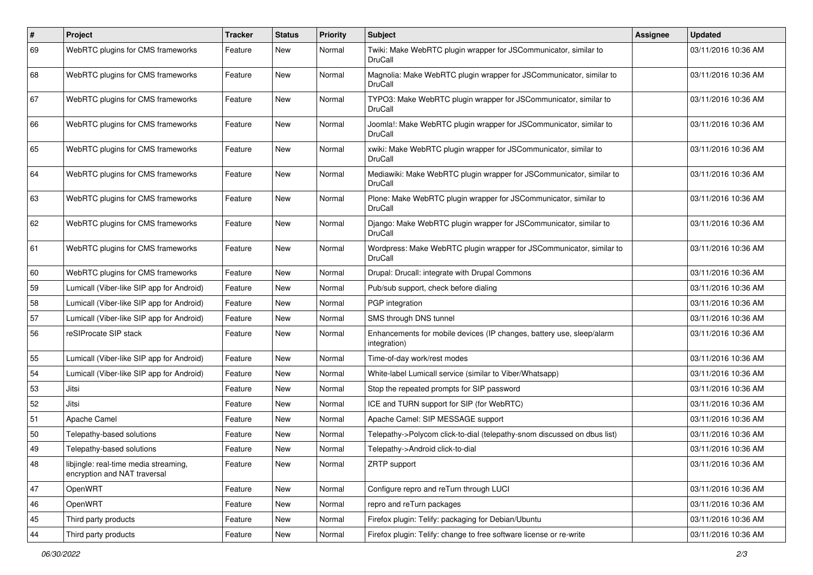| $\sharp$ | Project                                                               | <b>Tracker</b> | <b>Status</b> | <b>Priority</b> | <b>Subject</b>                                                                         | Assignee | <b>Updated</b>      |
|----------|-----------------------------------------------------------------------|----------------|---------------|-----------------|----------------------------------------------------------------------------------------|----------|---------------------|
| 69       | WebRTC plugins for CMS frameworks                                     | Feature        | New           | Normal          | Twiki: Make WebRTC plugin wrapper for JSCommunicator, similar to<br>DruCall            |          | 03/11/2016 10:36 AM |
| 68       | WebRTC plugins for CMS frameworks                                     | Feature        | New           | Normal          | Magnolia: Make WebRTC plugin wrapper for JSCommunicator, similar to<br>DruCall         |          | 03/11/2016 10:36 AM |
| 67       | WebRTC plugins for CMS frameworks                                     | Feature        | <b>New</b>    | Normal          | TYPO3: Make WebRTC plugin wrapper for JSCommunicator, similar to<br>DruCall            |          | 03/11/2016 10:36 AM |
| 66       | WebRTC plugins for CMS frameworks                                     | Feature        | <b>New</b>    | Normal          | Joomla!: Make WebRTC plugin wrapper for JSCommunicator, similar to<br>DruCall          |          | 03/11/2016 10:36 AM |
| 65       | WebRTC plugins for CMS frameworks                                     | Feature        | New           | Normal          | xwiki: Make WebRTC plugin wrapper for JSCommunicator, similar to<br>DruCall            |          | 03/11/2016 10:36 AM |
| 64       | WebRTC plugins for CMS frameworks                                     | Feature        | <b>New</b>    | Normal          | Mediawiki: Make WebRTC plugin wrapper for JSCommunicator, similar to<br>DruCall        |          | 03/11/2016 10:36 AM |
| 63       | WebRTC plugins for CMS frameworks                                     | Feature        | New           | Normal          | Plone: Make WebRTC plugin wrapper for JSCommunicator, similar to<br>DruCall            |          | 03/11/2016 10:36 AM |
| 62       | WebRTC plugins for CMS frameworks                                     | Feature        | <b>New</b>    | Normal          | Django: Make WebRTC plugin wrapper for JSCommunicator, similar to<br>DruCall           |          | 03/11/2016 10:36 AM |
| 61       | WebRTC plugins for CMS frameworks                                     | Feature        | New           | Normal          | Wordpress: Make WebRTC plugin wrapper for JSCommunicator, similar to<br><b>DruCall</b> |          | 03/11/2016 10:36 AM |
| 60       | WebRTC plugins for CMS frameworks                                     | Feature        | New           | Normal          | Drupal: Drucall: integrate with Drupal Commons                                         |          | 03/11/2016 10:36 AM |
| 59       | Lumicall (Viber-like SIP app for Android)                             | Feature        | New           | Normal          | Pub/sub support, check before dialing                                                  |          | 03/11/2016 10:36 AM |
| 58       | Lumicall (Viber-like SIP app for Android)                             | Feature        | <b>New</b>    | Normal          | PGP integration                                                                        |          | 03/11/2016 10:36 AM |
| 57       | Lumicall (Viber-like SIP app for Android)                             | Feature        | <b>New</b>    | Normal          | SMS through DNS tunnel                                                                 |          | 03/11/2016 10:36 AM |
| 56       | reSIProcate SIP stack                                                 | Feature        | New           | Normal          | Enhancements for mobile devices (IP changes, battery use, sleep/alarm<br>integration)  |          | 03/11/2016 10:36 AM |
| 55       | Lumicall (Viber-like SIP app for Android)                             | Feature        | New           | Normal          | Time-of-day work/rest modes                                                            |          | 03/11/2016 10:36 AM |
| 54       | Lumicall (Viber-like SIP app for Android)                             | Feature        | <b>New</b>    | Normal          | White-label Lumicall service (similar to Viber/Whatsapp)                               |          | 03/11/2016 10:36 AM |
| 53       | Jitsi                                                                 | Feature        | <b>New</b>    | Normal          | Stop the repeated prompts for SIP password                                             |          | 03/11/2016 10:36 AM |
| 52       | Jitsi                                                                 | Feature        | New           | Normal          | ICE and TURN support for SIP (for WebRTC)                                              |          | 03/11/2016 10:36 AM |
| 51       | Apache Camel                                                          | Feature        | New           | Normal          | Apache Camel: SIP MESSAGE support                                                      |          | 03/11/2016 10:36 AM |
| 50       | Telepathy-based solutions                                             | Feature        | <b>New</b>    | Normal          | Telepathy->Polycom click-to-dial (telepathy-snom discussed on dbus list)               |          | 03/11/2016 10:36 AM |
| 49       | Telepathy-based solutions                                             | Feature        | <b>New</b>    | Normal          | Telepathy->Android click-to-dial                                                       |          | 03/11/2016 10:36 AM |
| 48       | libjingle: real-time media streaming,<br>encryption and NAT traversal | Feature        | New           | Normal          | <b>ZRTP</b> support                                                                    |          | 03/11/2016 10:36 AM |
| 47       | OpenWRT                                                               | Feature        | New           | Normal          | Configure repro and reTurn through LUCI                                                |          | 03/11/2016 10:36 AM |
| 46       | OpenWRT                                                               | Feature        | New           | Normal          | repro and reTurn packages                                                              |          | 03/11/2016 10:36 AM |
| 45       | Third party products                                                  | Feature        | New           | Normal          | Firefox plugin: Telify: packaging for Debian/Ubuntu                                    |          | 03/11/2016 10:36 AM |
| 44       | Third party products                                                  | Feature        | New           | Normal          | Firefox plugin: Telify: change to free software license or re-write                    |          | 03/11/2016 10:36 AM |